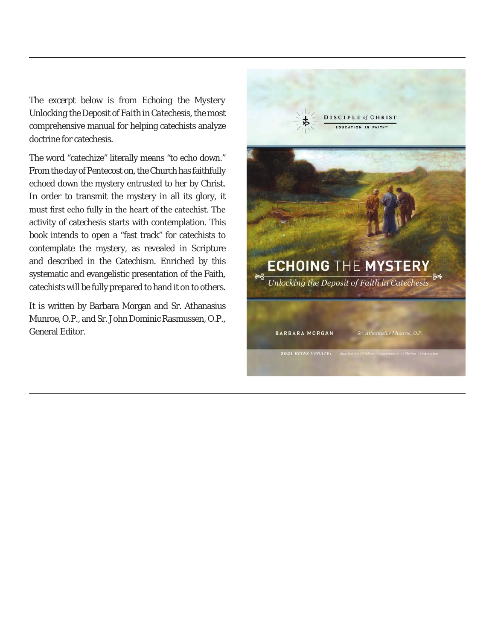The excerpt below is from *Echoing the Mystery Unlocking the Deposit of Faith in Catechesis*, the most comprehensive manual for helping catechists analyze doctrine for catechesis.

The word "catechize" literally means "to echo down." From the day of Pentecost on, the Church has faithfully echoed down the mystery entrusted to her by Christ. In order to transmit the mystery in all its glory, it must first echo fully in the heart of the catechist. The activity of catechesis starts with contemplation. This book intends to open a "fast track" for catechists to contemplate the mystery, as revealed in Scripture and described in the Catechism. Enriched by this systematic and evangelistic presentation of the Faith, catechists will be fully prepared to hand it on to others.

It is written by Barbara Morgan and Sr. Athanasius Munroe, O.P., and Sr. John Dominic Rasmussen, O.P., General Editor.

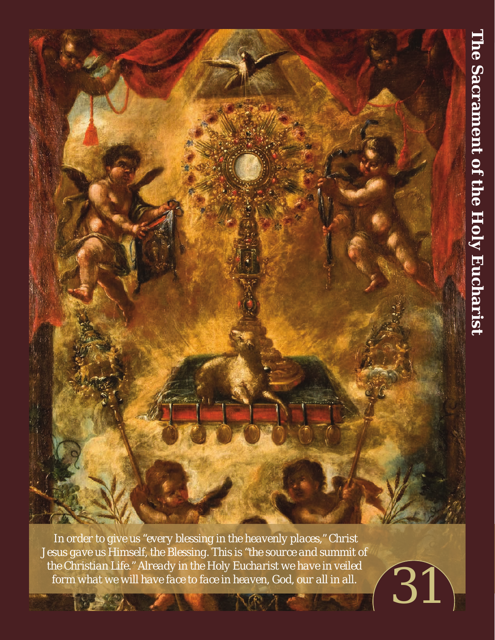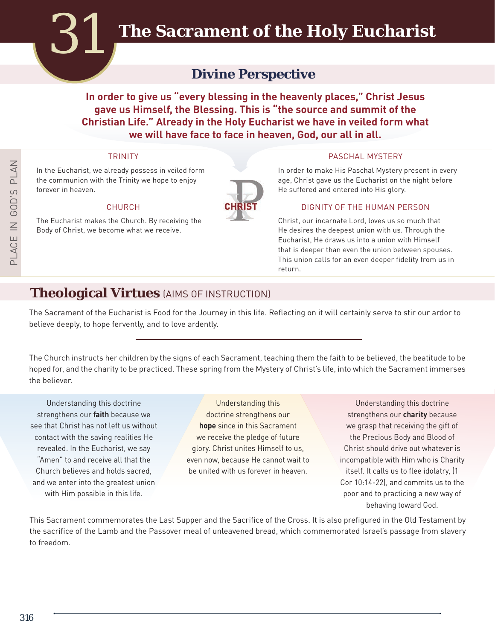# **Divine Perspective**

**In order to give us "every blessing in the heavenly places," Christ Jesus gave us Himself, the Blessing. This is "the source and summit of the Christian Life." Already in the Holy Eucharist we have in veiled form what we will have face to face in heaven, God, our all in all.** 

In the Eucharist, we already possess in veiled form the communion with the Trinity we hope to enjoy forever in heaven.

The Eucharist makes the Church. By receiving the Body of Christ, we become what we receive.



#### TRINITY **PASCHAL MYSTERY**

In order to make His Paschal Mystery present in every age, Christ gave us the Eucharist on the night before He suffered and entered into His glory.

#### CHURCH **CHRIST** DIGNITY OF THE HUMAN PERSON

Christ, our incarnate Lord, loves us so much that He desires the deepest union with us. Through the Eucharist, He draws us into a union with Himself that is deeper than even the union between spouses. This union calls for an even deeper fidelity from us in return.

# **Theological Virtues** (AIMS OF INSTRUCTION)

The Sacrament of the Eucharist is Food for the Journey in this life. Reflecting on it will certainly serve to stir our ardor to believe deeply, to hope fervently, and to love ardently.

The Church instructs her children by the signs of each Sacrament, teaching them the faith to be believed, the beatitude to be hoped for, and the charity to be practiced. These spring from the Mystery of Christ's life, into which the Sacrament immerses the believer.

Understanding this doctrine strengthens our **faith** because we see that Christ has not left us without contact with the saving realities He revealed. In the Eucharist, we say "Amen" to and receive all that the Church believes and holds sacred, and we enter into the greatest union with Him possible in this life.

Understanding this doctrine strengthens our **hope** since in this Sacrament we receive the pledge of future glory. Christ unites Himself to us, even now, because He cannot wait to be united with us forever in heaven.

Understanding this doctrine strengthens our **charity** because we grasp that receiving the gift of the Precious Body and Blood of Christ should drive out whatever is incompatible with Him who is Charity itself. It calls us to flee idolatry, (1 Cor 10:14-22), and commits us to the poor and to practicing a new way of behaving toward God.

This Sacrament commemorates the Last Supper and the Sacrifice of the Cross. It is also prefigured in the Old Testament by the sacrifice of the Lamb and the Passover meal of unleavened bread, which commemorated Israel's passage from slavery to freedom.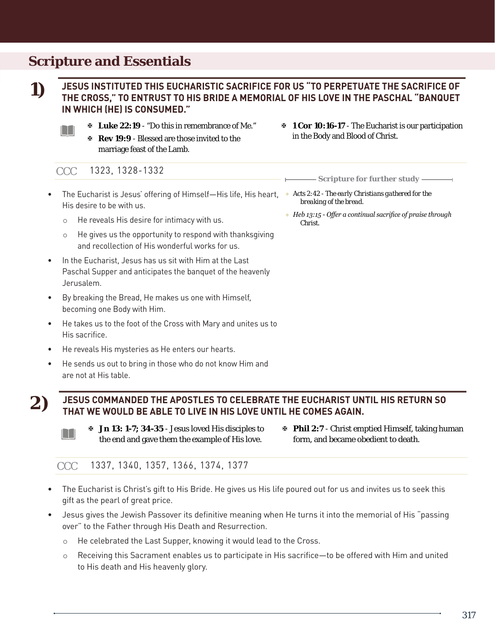# **Scripture and Essentials**

**1)**

#### **JESUS INSTITUTED THIS EUCHARISTIC SACRIFICE FOR US "TO PERPETUATE THE SACRIFICE OF THE CROSS," TO ENTRUST TO HIS BRIDE A MEMORIAL OF HIS LOVE IN THE PASCHAL "BANQUET IN WHICH (HE) IS CONSUMED."**

- H
- ? **Luke 22:19** "Do this in remembrance of Me."
- ? **Rev 19:9** Blessed are those invited to the marriage feast of the Lamb.
- ? **1 Cor 10:16-17** The Eucharist is our participation in the Body and Blood of Christ.

? *Heb 13:15 - Offer a continual sacrifice of praise through* 

*Scripture for further study*

*breaking of the bread.*

*Christ.*

#### 1323, 1328-1332 CCC

- The Eucharist is Jesus' offering of Himself—His life, His heart, \* Acts 2:42 The early Christians gathered for the His desire to be with us.
	- <sup>c</sup> He reveals His desire for intimacy with us.
	- <sup>c</sup> He gives us the opportunity to respond with thanksgiving and recollection of His wonderful works for us.
- In the Eucharist, Jesus has us sit with Him at the Last Paschal Supper and anticipates the banquet of the heavenly Jerusalem.
- By breaking the Bread, He makes us one with Himself, becoming one Body with Him.
- He takes us to the foot of the Cross with Mary and unites us to His sacrifice.
- He reveals His mysteries as He enters our hearts.
- He sends us out to bring in those who do not know Him and are not at His table.
- 

### **JESUS COMMANDED THE APOSTLES TO CELEBRATE THE EUCHARIST UNTIL HIS RETURN SO THAT WE WOULD BE ABLE TO LIVE IN HIS LOVE UNTIL HE COMES AGAIN.**<br>THAT WE WOULD BE ABLE TO LIVE IN HIS LOVE UNTIL HE COMES AGAIN.



? **Jn 13: 1-7; 34-35** - Jesus loved His disciples to the end and gave them the example of His love. ? **Phil 2:7** - Christ emptied Himself, taking human form, and became obedient to death.

CCC 1337, 1340, 1357, 1366, 1374, 1377

- The Eucharist is Christ's gift to His Bride. He gives us His life poured out for us and invites us to seek this gift as the pearl of great price.
- Jesus gives the Jewish Passover its definitive meaning when He turns it into the memorial of His "passing over" to the Father through His Death and Resurrection.
	- <sup>c</sup> He celebrated the Last Supper, knowing it would lead to the Cross.
	- <sup>c</sup> Receiving this Sacrament enables us to participate in His sacrifice—to be offered with Him and united to His death and His heavenly glory.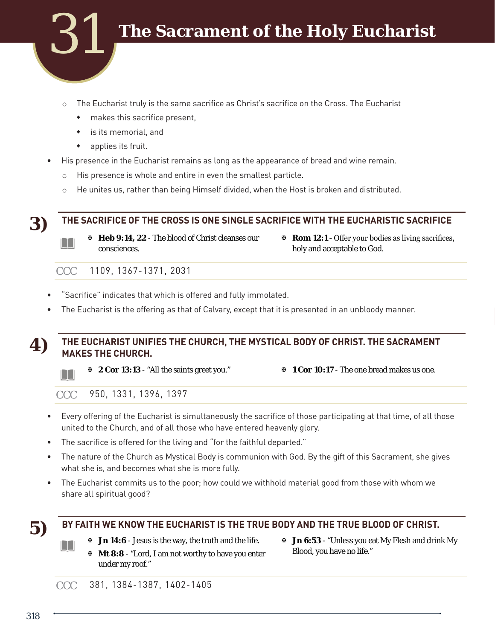

- $\circ$  The Eucharist truly is the same sacrifice as Christ's sacrifice on the Cross. The Eucharist
	- makes this sacrifice present,
	- is its memorial, and
	- applies its fruit.
- His presence in the Eucharist remains as long as the appearance of bread and wine remain.
	- <sup>c</sup> His presence is whole and entire in even the smallest particle.
	- $\circ$  He unites us, rather than being Himself divided, when the Host is broken and distributed.

**THE SACRIFICE OF THE CROSS IS ONE SINGLE SACRIFICE WITH THE EUCHARISTIC SACRIFICE 3)**

H

- ? **Heb 9:14, 22** The blood of Christ cleanses our consciences.
- ? **Rom 12:1** Offer your bodies as living sacrifices, holy and acceptable to God.

CCC 1109, 1367-1371, 2031

- "Sacrifice" indicates that which is offered and fully immolated.
- The Eucharist is the offering as that of Calvary, except that it is presented in an unbloody manner.

# **THE EUCHARIST UNIFIES THE CHURCH, THE MYSTICAL BODY OF CHRIST. THE SACRAMENT 4) MAKES THE CHURCH.**



? **2 Cor 13:13** - "All the saints greet you." ? **1 Cor 10:17** - The one bread makes us one.

CCC 950, 1331, 1396, 1397

- Every offering of the Eucharist is simultaneously the sacrifice of those participating at that time, of all those united to the Church, and of all those who have entered heavenly glory.
- The sacrifice is offered for the living and "for the faithful departed."
- The nature of the Church as Mystical Body is communion with God. By the gift of this Sacrament, she gives what she is, and becomes what she is more fully.
- The Eucharist commits us to the poor; how could we withhold material good from those with whom we share all spiritual good?

H

# **BY FAITH WE KNOW THE EUCHARIST IS THE TRUE BODY AND THE TRUE BLOOD OF CHRIST. 5)**

- ? **Jn 14:6**  Jesus is the way, the truth and the life.
- ? **Jn 6:53**  "Unless you eat My Flesh and drink My Blood, you have no life."

? **Mt 8:8** - "Lord, I am not worthy to have you enter under my roof."

CCC 381, 1384-1387, 1402-1405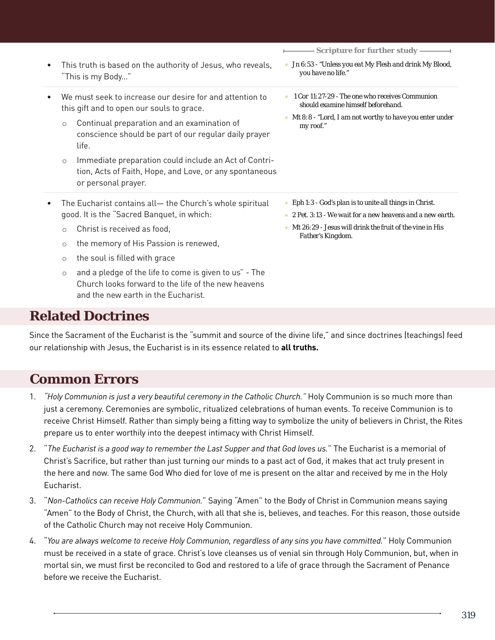| $\bullet$ | This truth is based on the authority of Jesus, who reveals,<br>"This is my Body"                                                                                                                                                                                                                                                                                                                                | $Scriptive$ for further study $\longrightarrow$<br>■ Jn 6:53 - "Unless you eat My Flesh and drink My Blood,<br>you have no life."                                                                       |
|-----------|-----------------------------------------------------------------------------------------------------------------------------------------------------------------------------------------------------------------------------------------------------------------------------------------------------------------------------------------------------------------------------------------------------------------|---------------------------------------------------------------------------------------------------------------------------------------------------------------------------------------------------------|
|           | We must seek to increase our desire for and attention to<br>this gift and to open our souls to grace.<br>Continual preparation and an examination of<br>$\circlearrowright$<br>conscience should be part of our regular daily prayer<br>life.<br>Immediate preparation could include an Act of Contri-<br>$\circlearrowright$<br>tion, Acts of Faith, Hope, and Love, or any spontaneous<br>or personal prayer. | 1 Cor 11:27-29 - The one who receives Communion<br>should examine himself beforehand.<br>Mt 8:8 - "Lord, I am not worthy to have you enter under<br>my roof."                                           |
|           | The Eucharist contains all - the Church's whole spiritual<br>good. It is the "Sacred Banquet, in which:<br>Christ is received as food,<br>$\circ$<br>the memory of His Passion is renewed,<br>$\circ$<br>the soul is filled with grace<br>$\circ$<br>and a pledge of the life to come is given to us" - The<br>$\circ$                                                                                          | • Eph 1:3 - God's plan is to unite all things in Christ.<br>2 Pet. 3:13 - We wait for a new heavens and a new earth.<br>$Mt$ 26:29 - Jesus will drink the fruit of the vine in His<br>Father's Kingdom. |

Church looks forward to the life of the new heavens and the new earth in the Eucharist.

## **Related Doctrines**

Since the Sacrament of the Eucharist is the "summit and source of the divine life," and since doctrines (teachings) feed our relationship with Jesus, the Eucharist is in its essence related to **all truths.**

# **Common Errors**

- 1. *"Holy Communion is just a very beautiful ceremony in the Catholic Church."* Holy Communion is so much more than just a ceremony. Ceremonies are symbolic, ritualized celebrations of human events. To receive Communion is to receive Christ Himself. Rather than simply being a fitting way to symbolize the unity of believers in Christ, the Rites prepare us to enter worthily into the deepest intimacy with Christ Himself.
- 2. "*The Eucharist is a good way to remember the Last Supper and that God loves us.*" The Eucharist is a memorial of Christ's Sacrifice, but rather than just turning our minds to a past act of God, it makes that act truly present in the here and now. The same God Who died for love of me is present on the altar and received by me in the Holy Eucharist.
- 3. "*Non-Catholics can receive Holy Communion.*" Saying "Amen" to the Body of Christ in Communion means saying "Amen" to the Body of Christ, the Church, with all that she is, believes, and teaches. For this reason, those outside of the Catholic Church may not receive Holy Communion.
- 4. "*You are always welcome to receive Holy Communion, regardless of any sins you have committed.*" Holy Communion must be received in a state of grace. Christ's love cleanses us of venial sin through Holy Communion, but, when in mortal sin, we must first be reconciled to God and restored to a life of grace through the Sacrament of Penance before we receive the Eucharist.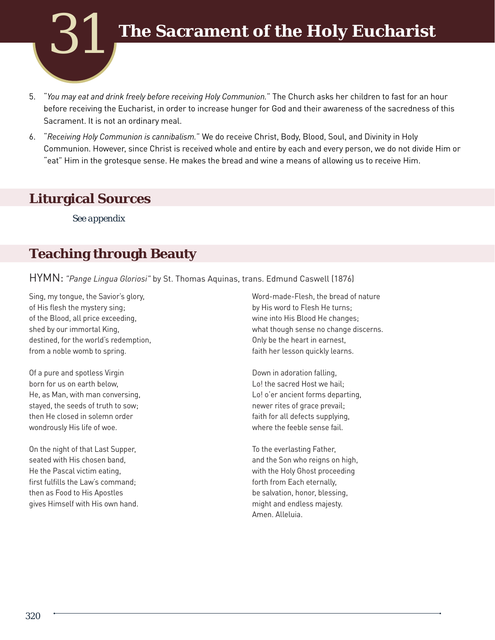

- 5. "*You may eat and drink freely before receiving Holy Communion.*" The Church asks her children to fast for an hour before receiving the Eucharist, in order to increase hunger for God and their awareness of the sacredness of this Sacrament. It is not an ordinary meal.
- 6. "*Receiving Holy Communion is cannibalism.*" We do receive Christ, Body, Blood, Soul, and Divinity in Holy Communion. However, since Christ is received whole and entire by each and every person, we do not divide Him or "eat" Him in the grotesque sense. He makes the bread and wine a means of allowing us to receive Him.

# **Liturgical Sources**

*See appendix*

# **Teaching through Beauty**

HYMN: *"Pange Lingua Gloriosi"* by St. Thomas Aquinas, trans. Edmund Caswell (1876)

Sing, my tongue, the Savior's glory, of His flesh the mystery sing; of the Blood, all price exceeding, shed by our immortal King, destined, for the world's redemption, from a noble womb to spring.

Of a pure and spotless Virgin born for us on earth below, He, as Man, with man conversing, stayed, the seeds of truth to sow; then He closed in solemn order wondrously His life of woe.

On the night of that Last Supper, seated with His chosen band, He the Pascal victim eating, first fulfills the Law's command; then as Food to His Apostles gives Himself with His own hand.

Word-made-Flesh, the bread of nature by His word to Flesh He turns; wine into His Blood He changes; what though sense no change discerns. Only be the heart in earnest, faith her lesson quickly learns.

Down in adoration falling, Lo! the sacred Host we hail; Lo! o'er ancient forms departing, newer rites of grace prevail; faith for all defects supplying, where the feeble sense fail.

To the everlasting Father, and the Son who reigns on high, with the Holy Ghost proceeding forth from Each eternally, be salvation, honor, blessing, might and endless majesty. Amen. Alleluia.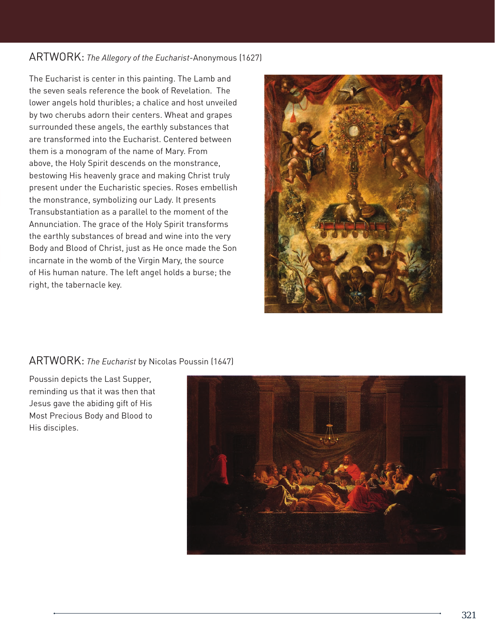### ARTWORK: *The Allegory of the Eucharist*-Anonymous (1627)

The Eucharist is center in this painting. The Lamb and the seven seals reference the book of Revelation. The lower angels hold thuribles; a chalice and host unveiled by two cherubs adorn their centers. Wheat and grapes surrounded these angels, the earthly substances that are transformed into the Eucharist. Centered between them is a monogram of the name of Mary. From above, the Holy Spirit descends on the monstrance, bestowing His heavenly grace and making Christ truly present under the Eucharistic species. Roses embellish the monstrance, symbolizing our Lady. It presents Transubstantiation as a parallel to the moment of the Annunciation. The grace of the Holy Spirit transforms the earthly substances of bread and wine into the very Body and Blood of Christ, just as He once made the Son incarnate in the womb of the Virgin Mary, the source of His human nature. The left angel holds a burse; the right, the tabernacle key.



### ARTWORK: *The Eucharist* by Nicolas Poussin (1647)

Poussin depicts the Last Supper, reminding us that it was then that Jesus gave the abiding gift of His Most Precious Body and Blood to His disciples.